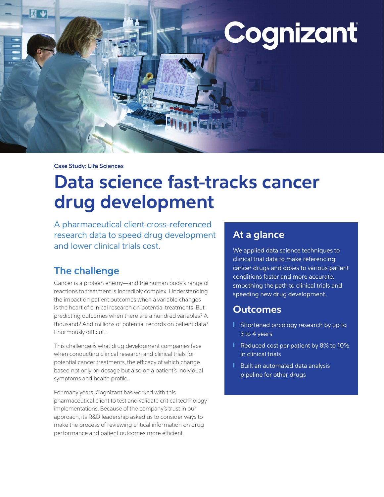

**Case Study: Life Sciences**

# **Data science fast-tracks cancer drug development**

A pharmaceutical client cross-referenced research data to speed drug development and lower clinical trials cost.

# **The challenge**

Cancer is a protean enemy—and the human body's range of reactions to treatment is incredibly complex. Understanding the impact on patient outcomes when a variable changes is the heart of clinical research on potential treatments. But predicting outcomes when there are a hundred variables? A thousand? And millions of potential records on patient data? Enormously difficult.

This challenge is what drug development companies face when conducting clinical research and clinical trials for potential cancer treatments, the efficacy of which change based not only on dosage but also on a patient's individual symptoms and health profile.

For many years, Cognizant has worked with this pharmaceutical client to test and validate critical technology implementations. Because of the company's trust in our approach, its R&D leadership asked us to consider ways to make the process of reviewing critical information on drug performance and patient outcomes more efficient.

# **At a glance**

We applied data science techniques to clinical trial data to make referencing cancer drugs and doses to various patient conditions faster and more accurate, smoothing the path to clinical trials and speeding new drug development.

# **Outcomes**

- Shortened oncology research by up to 3 to 4 years
- Reduced cost per patient by 8% to 10% in clinical trials
- Built an automated data analysis pipeline for other drugs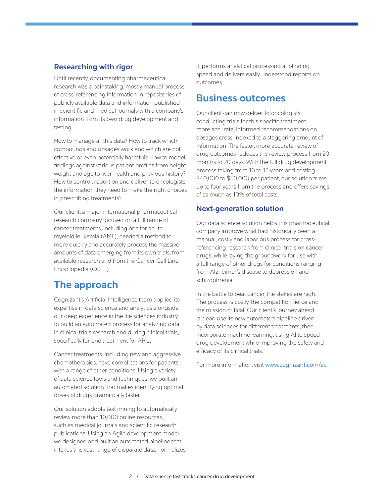### **Researching with rigor**

Until recently, documenting pharmaceutical research was a painstaking, mostly manual process of cross-referencing information in repositories of publicly available data and information published in scientific and medical journals with a company's information from its own drug development and testing.

How to manage all this data? How to track which compounds and dosages work and which are not effective or even potentially harmful? How to model findings against various patient profiles from height, weight and age to liver health and previous history? How to control, report on and deliver to oncologists the information they need to make the right choices in prescribing treatments?

Our client, a major international pharmaceutical research company focused on a full range of cancer treatments, including one for acute myeloid leukemia (AML), needed a method to more quickly and accurately process the massive amounts of data emerging from its own trials, from available research and from the Cancer Cell Line Encyclopedia (CCLE).

# **The approach**

Cognizant's Artificial Intelligence team applied its expertise in data science and analytics alongside our deep experience in the life sciences industry to build an automated process for analyzing data in clinical trials research and during clinical trials, specifically for one treatment for AML.

Cancer treatments, including new and aggressive chemotherapies, have complications for patients with a range of other conditions. Using a variety of data science tools and techniques, we built an automated solution that makes identifying optimal doses of drugs dramatically faster.

Our solution adopts text mining to automatically review more than 10,000 online resources, such as medical journals and scientific research publications. Using an Agile development model, we designed and built an automated pipeline that intakes this vast range of disparate data, normalizes it, performs analytical processing at blinding speed and delivers easily understood reports on outcomes.

### **Business outcomes**

Our client can now deliver to oncologists conducting trials for this specific treatment more accurate, informed recommendations on dosages cross-indexed to a staggering amount of information. The faster, more accurate review of drug outcomes reduces the review process from 20 months to 20 days. With the full drug development process taking from 10 to 18 years and costing \$40,000 to \$50,000 per patient, our solution trims up to four years from the process and offers savings of as much as 10% of total costs.

### **Next-generation solution**

Our data science solution helps this pharmaceutical company improve what had historically been a manual, costly and laborious process for crossreferencing research from clinical trials on cancer drugs, while laying the groundwork for use with a full range of other drugs for conditions ranging from Alzheimer's disease to depression and schizophrenia.

In the battle to beat cancer, the stakes are high. The process is costly, the competition fierce and the mission critical. Our client's journey ahead is clear: use its new automated pipeline driven by data sciences for different treatments, then incorporate machine learning, using AI to speed drug development while improving the safety and efficacy of its clinical trials.

For more information, visit [www.cognizant.com/ai](https://www.cognizant.com/ai).